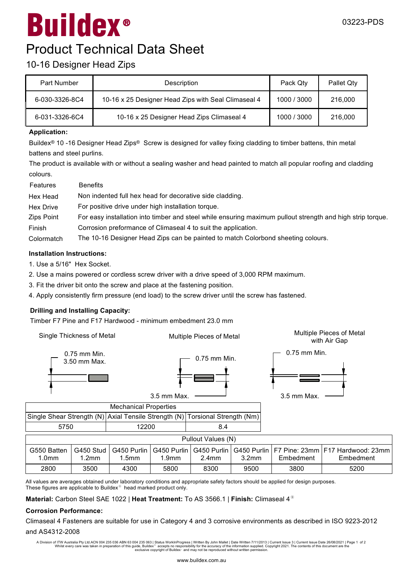# $\bm{\textcircled{\small{R}}}$ Buildex

### 10-16 Designer Head Zips

| Part Number    | Description                                         | Pack Qty    | Pallet Qtv |
|----------------|-----------------------------------------------------|-------------|------------|
| 6-030-3326-8C4 | 10-16 x 25 Designer Head Zips with Seal Climaseal 4 | 1000 / 3000 | 216,000    |
| 6-031-3326-6C4 | 10-16 x 25 Designer Head Zips Climaseal 4           | 1000 / 3000 | 216,000    |

#### **Application:**

Buildex<sup>®</sup> 10 -16 Designer Head Zips® Screw is designed for valley fixing cladding to timber battens, thin metal battens and steel purlins.

The product is available with or without <sup>a</sup> sealing washer and head painted to match all popular roofing and cladding colours.

| Features   | <b>Benefits</b>                                                                                            |
|------------|------------------------------------------------------------------------------------------------------------|
| Hex Head   | Non indented full hex head for decorative side cladding.                                                   |
| Hex Drive  | For positive drive under high installation torque.                                                         |
| Zips Point | For easy installation into timber and steel while ensuring maximum pullout strength and high strip torque. |
| Finish     | Corrosion preformance of Climaseal 4 to suit the application.                                              |
| Colormatch | The 10-16 Designer Head Zips can be painted to match Colorbond sheeting colours.                           |

#### **Installation Instructions:**

1. Use a 5/16" Hex Socket.

2. Use <sup>a</sup> mains powered or cordless screw driver with <sup>a</sup> drive speed of 3,000 RPM maximum.

3. Fit the driver bit onto the screw and place at the fastening position.

4. Apply consistently firm pressure (end load) to the screw driver until the screw has fastened.

#### **Drilling and Installing Capacity:**

Timber F7 Pine and F17 Hardwood - minimum embedment 23.0 mm

| Single Thickness of Metal                            |                                | Multiple Pieces of Metal         |                                  |                         |                                  | Multiple Pieces of Metal<br>with Air Gap |                                                 |  |  |
|------------------------------------------------------|--------------------------------|----------------------------------|----------------------------------|-------------------------|----------------------------------|------------------------------------------|-------------------------------------------------|--|--|
| $0.75$ mm Min.<br>3.50 mm Max.                       |                                | 3.5 mm Max.                      | $0.75$ mm Min.                   |                         | $0.75$ mm Min.<br>3.5 mm Max.    |                                          |                                                 |  |  |
|                                                      |                                | <b>Mechanical Properties</b>     |                                  |                         |                                  |                                          |                                                 |  |  |
| Single Shear Strength (N) Axial Tensile Strength (N) |                                |                                  |                                  | Torsional Strength (Nm) |                                  |                                          |                                                 |  |  |
| 5750                                                 |                                |                                  | 8.4<br>12200                     |                         |                                  |                                          |                                                 |  |  |
| Pullout Values (N)                                   |                                |                                  |                                  |                         |                                  |                                          |                                                 |  |  |
| G550 Batten<br>1.0 <sub>mm</sub>                     | G450 Stud<br>1.2 <sub>mm</sub> | G450 Purlin<br>1.5 <sub>mm</sub> | G450 Purlin<br>1.9 <sub>mm</sub> | G450 Purlin<br>$2.4$ mm | G450 Purlin<br>3.2 <sub>mm</sub> | Embedment                                | F7 Pine: 23mm   F17 Hardwood: 23mm<br>Embedment |  |  |
| 2800                                                 | 3500                           | 4300                             | 5800                             | 8300                    | 9500                             | 3800                                     | 5200                                            |  |  |

All values are averages obtained under laboratory conditions and appropriate safety factors should be applied for design purposes. These figures are applicable to Buildex $^{\circ}$  head marked product only.

**Material:** Carbon Steel SAE 1022 | **Heat Treatment:** To AS 3566.1 | Finish: Climaseal 4<sup>®</sup>

#### **Corrosion Performance:**

Climaseal 4 Fasteners are suitable for use in Category 4 and 3 corrosive environments as described in ISO 9223-2012 and AS4312-2008

A Division of ITW Australia Pty Ltd.ACN 004 235 084 ABN 63 004 235 063 | Status WorkInProgress | Written By John Mallet | Date Written 7/11/2013 | Current Issue Date 26/08/2021 | Page 1 of 2<br>Whilst every care was taken in exclusive copyright of Buildex<sup>®</sup> and may not be reproduced without written permission.